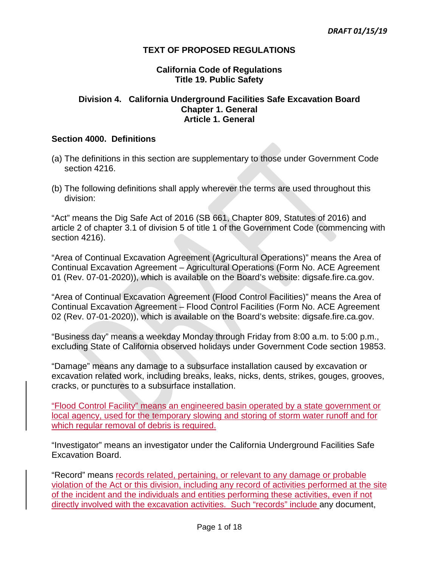# **TEXT OF PROPOSED REGULATIONS**

#### **California Code of Regulations Title 19. Public Safety**

# **Division 4. California Underground Facilities Safe Excavation Board Chapter 1. General Article 1. General**

#### **Section 4000. Definitions**

- (a) The definitions in this section are supplementary to those under Government Code section 4216.
- (b) The following definitions shall apply wherever the terms are used throughout this division:

"Act" means the Dig Safe Act of 2016 (SB 661, Chapter 809, Statutes of 2016) and article 2 of chapter 3.1 of division 5 of title 1 of the Government Code (commencing with section 4216).

 "Area of Continual Excavation Agreement (Agricultural Operations)" means the Area of Continual Excavation Agreement – Agricultural Operations (Form No. ACE Agreement 01 (Rev. 07-01-2020)), which is available on the Board's website: digsafe.fire.ca.gov.

 Continual Excavation Agreement – Flood Control Facilities (Form No. ACE Agreement "Area of Continual Excavation Agreement (Flood Control Facilities)" means the Area of 02 (Rev. 07-01-2020)), which is available on the Board's website: digsafe.fire.ca.gov.

"Business day" means a weekday Monday through Friday from 8:00 a.m. to 5:00 p.m., excluding State of California observed holidays under Government Code section 19853.

 cracks, or punctures to a subsurface installation. "Damage" means any damage to a subsurface installation caused by excavation or excavation related work, including breaks, leaks, nicks, dents, strikes, gouges, grooves,

 "Flood Control Facility" means an engineered basin operated by a state government or local agency, used for the temporary slowing and storing of storm water runoff and for which regular removal of debris is required.

"Investigator" means an investigator under the California Underground Facilities Safe Excavation Board.

 of the incident and the individuals and entities performing these activities, even if not "Record" means records related, pertaining, or relevant to any damage or probable violation of the Act or this division, including any record of activities performed at the site directly involved with the excavation activities. Such "records" include any document,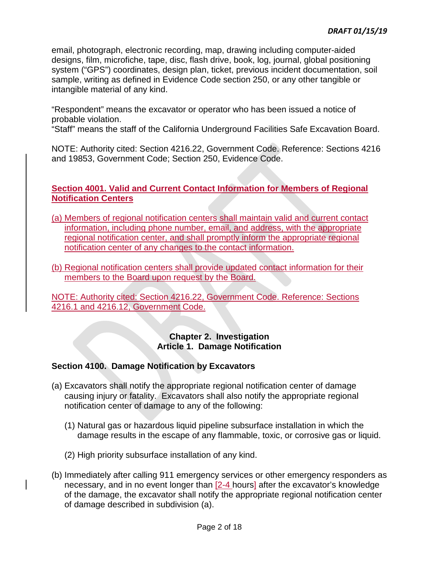sample, writing as defined in Evidence Code section 250, or any other tangible or intangible material of any kind. email, photograph, electronic recording, map, drawing including computer-aided designs, film, microfiche, tape, disc, flash drive, book, log, journal, global positioning system ("GPS") coordinates, design plan, ticket, previous incident documentation, soil

 "Respondent" means the excavator or operator who has been issued a notice of probable violation.

"Staff" means the staff of the California Underground Facilities Safe Excavation Board.

 NOTE: Authority cited: Section 4216.22, Government Code. Reference: Sections 4216 and 19853, Government Code; Section 250, Evidence Code.

# **Section 4001. Valid and Current Contact Information for Members of Regional Notification Centers**

 information, including phone number, email, and address, with the appropriate notification center of any changes to the contact information. (a) Members of regional notification centers shall maintain valid and current contact regional notification center, and shall promptly inform the appropriate regional

(b) Regional notification centers shall provide updated contact information for their members to the Board upon request by the Board.

NOTE: Authority cited: Section 4216.22, Government Code. Reference: Sections 4216.1 and 4216.12, Government Code.

# **Chapter 2. Investigation Article 1. Damage Notification**

# **Section 4100. Damage Notification by Excavators**

- (a) Excavators shall notify the appropriate regional notification center of damage notification center of damage to any of the following: causing injury or fatality. Excavators shall also notify the appropriate regional
	- (1) Natural gas or hazardous liquid pipeline subsurface installation in which the damage results in the escape of any flammable, toxic, or corrosive gas or liquid.
	- (2) High priority subsurface installation of any kind.
- necessary, and in no event longer than [2-4 hours] after the excavator's knowledge (b) Immediately after calling 911 emergency services or other emergency responders as of the damage, the excavator shall notify the appropriate regional notification center of damage described in subdivision (a).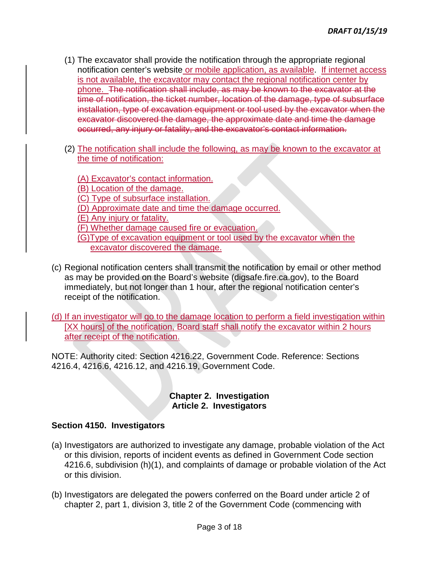- is not available, the excavator may contact the regional notification center by phone. The notification shall include, as may be known to the excavator at the (1) The excavator shall provide the notification through the appropriate regional notification center's website or mobile application, as available. If internet access time of notification, the ticket number, location of the damage, type of subsurface installation, type of excavation equipment or tool used by the excavator when the excavator discovered the damage, the approximate date and time the damage occurred, any injury or fatality, and the excavator's contact information.
- (2) The notification shall include the following, as may be known to the excavator at the time of notification:
	- (A) Excavator's contact information.
	- (B) Location of the damage.
	- (C) Type of subsurface installation.
	- (D) Approximate date and time the damage occurred.
	- (E) Any injury or fatality.
	- (F) Whether damage caused fire or evacuation.
	- (G)Type of excavation equipment or tool used by the excavator when the excavator discovered the damage.
- (c) Regional notification centers shall transmit the notification by email or other method immediately, but not longer than 1 hour, after the regional notification center's as may be provided on the Board's website (digsafe.fire.ca.gov), to the Board receipt of the notification.
- after receipt of the notification. (d) If an investigator will go to the damage location to perform a field investigation within [XX hours] of the notification, Board staff shall notify the excavator within 2 hours

NOTE: Authority cited: Section 4216.22, Government Code. Reference: Sections 4216.4, 4216.6, 4216.12, and 4216.19, Government Code.

# **Chapter 2. Investigation Article 2. Investigators**

# **Section 4150. Investigators**

- (a) Investigators are authorized to investigate any damage, probable violation of the Act 4216.6, subdivision (h)(1), and complaints of damage or probable violation of the Act or this division, reports of incident events as defined in Government Code section or this division.
- (b) Investigators are delegated the powers conferred on the Board under article 2 of chapter 2, part 1, division 3, title 2 of the Government Code (commencing with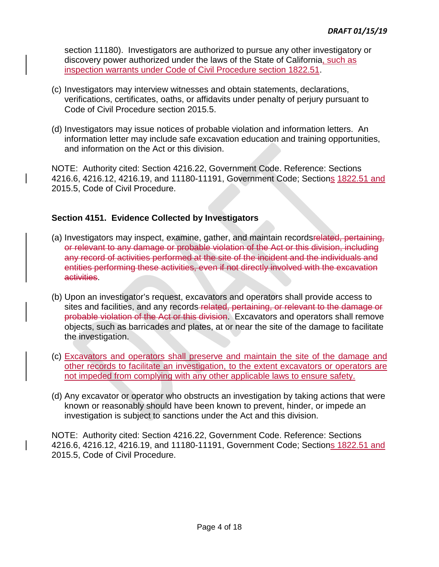section 11180). Investigators are authorized to pursue any other investigatory or discovery power authorized under the laws of the State of California, such as inspection warrants under Code of Civil Procedure section 1822.51.

- verifications, certificates, oaths, or affidavits under penalty of perjury pursuant to (c) Investigators may interview witnesses and obtain statements, declarations, Code of Civil Procedure section 2015.5.
- (d) Investigators may issue notices of probable violation and information letters. An information letter may include safe excavation education and training opportunities, and information on the Act or this division.

4216.6, 4216.12, 4216.19, and 11180-11191, Government Code; Section<u>s 1822.51 and</u> NOTE: Authority cited: Section 4216.22, Government Code. Reference: Sections 2015.5, Code of Civil Procedure.

# **Section 4151. Evidence Collected by Investigators**

- or relevant to any damage or probable violation of the Act or this division, including (a) Investigators may inspect, examine, gather, and maintain recordsrelated, pertaining, any record of activities performed at the site of the incident and the individuals and entities performing these activities, even if not directly involved with the excavation activities.
- (b) Upon an investigator's request, excavators and operators shall provide access to objects, such as barricades and plates, at or near the site of the damage to facilitate the investigation. sites and facilities, and any records related, pertaining, or relevant to the damage or probable violation of the Act or this division. Excavators and operators shall remove
- (c) Excavators and operators shall preserve and maintain the site of the damage and other records to facilitate an investigation, to the extent excavators or operators are not impeded from complying with any other applicable laws to ensure safety.
- known or reasonably should have been known to prevent, hinder, or impede an (d) Any excavator or operator who obstructs an investigation by taking actions that were investigation is subject to sanctions under the Act and this division.

NOTE: Authority cited: Section 4216.22, Government Code. Reference: Sections 4216.6, 4216.12, 4216.19, and 11180-11191, Government Code; Sections 1822.51 and 2015.5, Code of Civil Procedure.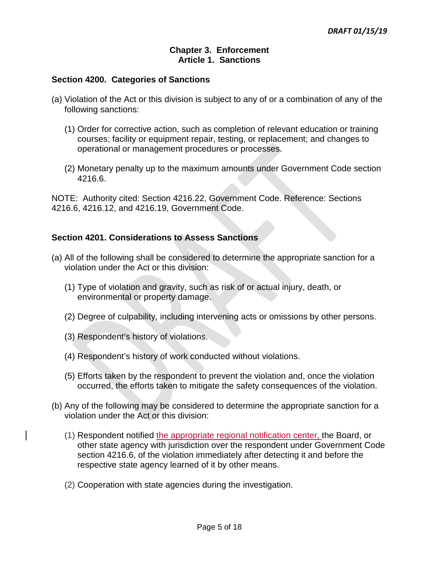#### **Chapter 3. Enforcement Article 1. Sanctions**

# **Section 4200. Categories of Sanctions**

- (a) Violation of the Act or this division is subject to any of or a combination of any of the following sanctions:
	- (1) Order for corrective action, such as completion of relevant education or training courses; facility or equipment repair, testing, or replacement; and changes to operational or management procedures or processes.
	- (2) Monetary penalty up to the maximum amounts under Government Code section 4216.6.

NOTE: Authority cited: Section 4216.22, Government Code. Reference: Sections 4216.6, 4216.12, and 4216.19, Government Code.

#### **Section 4201. Considerations to Assess Sanctions**

- (a) All of the following shall be considered to determine the appropriate sanction for a violation under the Act or this division:
	- (1) Type of violation and gravity, such as risk of or actual injury, death, or environmental or property damage.
	- (2) Degree of culpability, including intervening acts or omissions by other persons.
	- (3) Respondent's history of violations.
	- (4) Respondent's history of work conducted without violations.
	- (5) Efforts taken by the respondent to prevent the violation and, once the violation occurred, the efforts taken to mitigate the safety consequences of the violation.
- (b) Any of the following may be considered to determine the appropriate sanction for a violation under the Act or this division:
	- (1) Respondent notified the appropriate regional notification center, the Board, or other state agency with jurisdiction over the respondent under Government Code section 4216.6, of the violation immediately after detecting it and before the respective state agency learned of it by other means.
	- (2) Cooperation with state agencies during the investigation.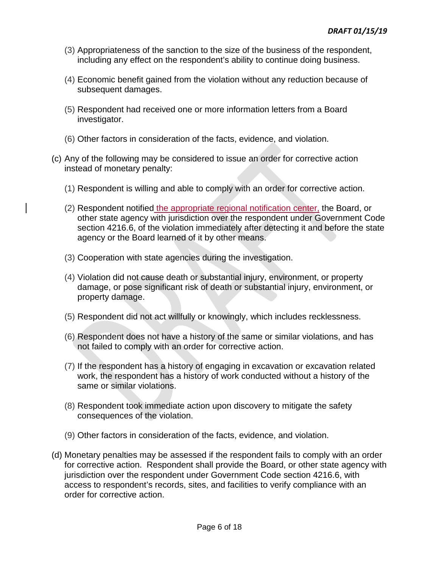- (3) Appropriateness of the sanction to the size of the business of the respondent, including any effect on the respondent's ability to continue doing business.
- (4) Economic benefit gained from the violation without any reduction because of subsequent damages.
- (5) Respondent had received one or more information letters from a Board investigator.
- (6) Other factors in consideration of the facts, evidence, and violation.
- (c) Any of the following may be considered to issue an order for corrective action instead of monetary penalty:
	- (1) Respondent is willing and able to comply with an order for corrective action.
	- agency or the Board learned of it by other means. (2) Respondent notified the appropriate regional notification center, the Board, or other state agency with jurisdiction over the respondent under Government Code section 4216.6, of the violation immediately after detecting it and before the state
	- (3) Cooperation with state agencies during the investigation.
	- (4) Violation did not cause death or substantial injury, environment, or property damage, or pose significant risk of death or substantial injury, environment, or property damage.
	- (5) Respondent did not act willfully or knowingly, which includes recklessness.
	- (6) Respondent does not have a history of the same or similar violations, and has not failed to comply with an order for corrective action.
	- $(7)$  If the respondent has a history of engaging in excavation or excavation related work, the respondent has a history of work conducted without a history of the same or similar violations.
	- (8) Respondent took immediate action upon discovery to mitigate the safety consequences of the violation.
	- (9) Other factors in consideration of the facts, evidence, and violation.
- for corrective action. Respondent shall provide the Board, or other state agency with (d) Monetary penalties may be assessed if the respondent fails to comply with an order jurisdiction over the respondent under Government Code section 4216.6, with access to respondent's records, sites, and facilities to verify compliance with an order for corrective action.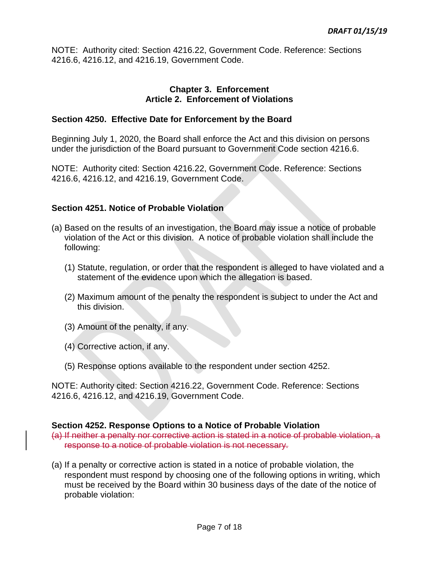NOTE: Authority cited: Section 4216.22, Government Code. Reference: Sections 4216.6, 4216.12, and 4216.19, Government Code.

# **Chapter 3. Enforcement Article 2. Enforcement of Violations**

# **Section 4250. Effective Date for Enforcement by the Board**

Beginning July 1, 2020, the Board shall enforce the Act and this division on persons under the jurisdiction of the Board pursuant to Government Code section 4216.6.

NOTE: Authority cited: Section 4216.22, Government Code. Reference: Sections 4216.6, 4216.12, and 4216.19, Government Code.

# **Section 4251. Notice of Probable Violation**

- (a) Based on the results of an investigation, the Board may issue a notice of probable violation of the Act or this division. A notice of probable violation shall include the following:
	- statement of the evidence upon which the allegation is based. (1) Statute, regulation, or order that the respondent is alleged to have violated and a
	- (2) Maximum amount of the penalty the respondent is subject to under the Act and this division.
	- (3) Amount of the penalty, if any.
	- (4) Corrective action, if any.
	- (5) Response options available to the respondent under section 4252.

NOTE: Authority cited: Section 4216.22, Government Code. Reference: Sections 4216.6, 4216.12, and 4216.19, Government Code.

# **Section 4252. Response Options to a Notice of Probable Violation**

(a) If neither a penalty nor corrective action is stated in a notice of probable violation, a response to a notice of probable violation is not necessary.

 respondent must respond by choosing one of the following options in writing, which (a) If a penalty or corrective action is stated in a notice of probable violation, the must be received by the Board within 30 business days of the date of the notice of probable violation: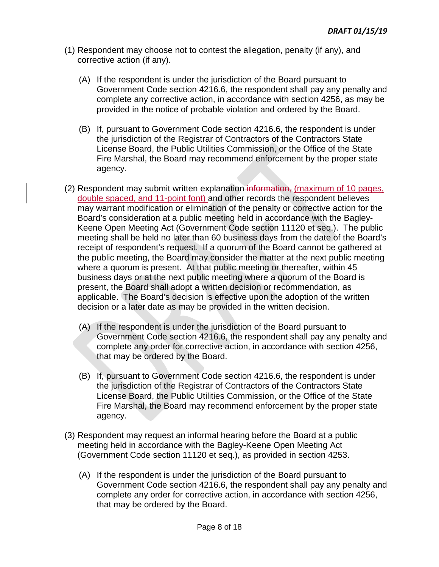- (1) Respondent may choose not to contest the allegation, penalty (if any), and corrective action (if any).
	- Government Code section 4216.6, the respondent shall pay any penalty and complete any corrective action, in accordance with section 4256, as may be (A) If the respondent is under the jurisdiction of the Board pursuant to provided in the notice of probable violation and ordered by the Board.
	- agency. (B) If, pursuant to Government Code section 4216.6, the respondent is under the jurisdiction of the Registrar of Contractors of the Contractors State License Board, the Public Utilities Commission, or the Office of the State Fire Marshal, the Board may recommend enforcement by the proper state
- agency.<br>(2) Respondent may submit written explanation <del>information,</del> <u>(maximum of 10 pages,</u> double spaced, and 11-point font) and other records the respondent believes Keene Open Meeting Act (Government Code section 11120 et seq.). The public meeting shall be held no later than 60 business days from the date of the Board's receipt of respondent's request. If a quorum of the Board cannot be gathered at where a quorum is present. At that public meeting or thereafter, within 45 applicable. The Board's decision is effective upon the adoption of the written may warrant modification or elimination of the penalty or corrective action for the Board's consideration at a public meeting held in accordance with the Bagleythe public meeting, the Board may consider the matter at the next public meeting business days or at the next public meeting where a quorum of the Board is present, the Board shall adopt a written decision or recommendation, as decision or a later date as may be provided in the written decision.
	- complete any order for corrective action, in accordance with section 4256, (A) If the respondent is under the jurisdiction of the Board pursuant to Government Code section 4216.6, the respondent shall pay any penalty and that may be ordered by the Board.
	- License Board, the Public Utilities Commission, or the Office of the State agency. (B) If, pursuant to Government Code section 4216.6, the respondent is under the jurisdiction of the Registrar of Contractors of the Contractors State Fire Marshal, the Board may recommend enforcement by the proper state
- (3) Respondent may request an informal hearing before the Board at a public meeting held in accordance with the Bagley-Keene Open Meeting Act (Government Code section 11120 et seq.), as provided in section 4253.
	- complete any order for corrective action, in accordance with section 4256, (A) If the respondent is under the jurisdiction of the Board pursuant to Government Code section 4216.6, the respondent shall pay any penalty and that may be ordered by the Board.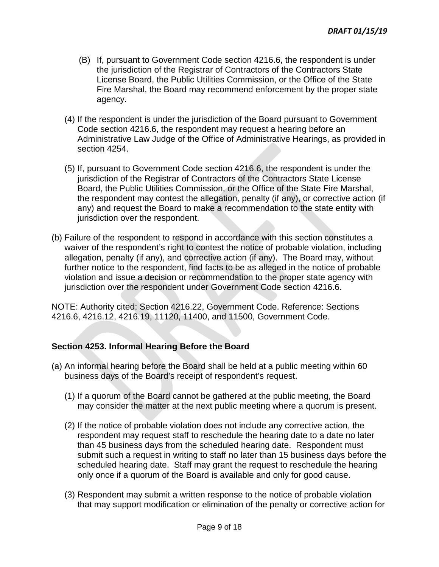- License Board, the Public Utilities Commission, or the Office of the State agency. (B) If, pursuant to Government Code section 4216.6, the respondent is under the jurisdiction of the Registrar of Contractors of the Contractors State Fire Marshal, the Board may recommend enforcement by the proper state
- (4) If the respondent is under the jurisdiction of the Board pursuant to Government Code section 4216.6, the respondent may request a hearing before an Administrative Law Judge of the Office of Administrative Hearings, as provided in section 4254.
- the respondent may contest the allegation, penalty (if any), or corrective action (if (5) If, pursuant to Government Code section 4216.6, the respondent is under the jurisdiction of the Registrar of Contractors of the Contractors State License Board, the Public Utilities Commission, or the Office of the State Fire Marshal, any) and request the Board to make a recommendation to the state entity with jurisdiction over the respondent.
- allegation, penalty (if any), and corrective action (if any). The Board may, without (b) Failure of the respondent to respond in accordance with this section constitutes a waiver of the respondent's right to contest the notice of probable violation, including further notice to the respondent, find facts to be as alleged in the notice of probable violation and issue a decision or recommendation to the proper state agency with jurisdiction over the respondent under Government Code section 4216.6.

 4216.6, 4216.12, 4216.19, 11120, 11400, and 11500, Government Code. NOTE: Authority cited: Section 4216.22, Government Code. Reference: Sections

# **Section 4253. Informal Hearing Before the Board**

- (a) An informal hearing before the Board shall be held at a public meeting within 60 business days of the Board's receipt of respondent's request.
	- (1) If a quorum of the Board cannot be gathered at the public meeting, the Board may consider the matter at the next public meeting where a quorum is present.
	- than 45 business days from the scheduled hearing date. Respondent must only once if a quorum of the Board is available and only for good cause. (2) If the notice of probable violation does not include any corrective action, the respondent may request staff to reschedule the hearing date to a date no later submit such a request in writing to staff no later than 15 business days before the scheduled hearing date. Staff may grant the request to reschedule the hearing
	- that may support modification or elimination of the penalty or corrective action for (3) Respondent may submit a written response to the notice of probable violation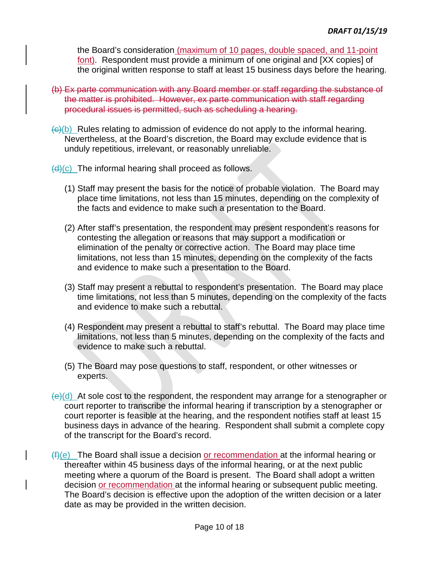font). Respondent must provide a minimum of one original and [XX copies] of the Board's consideration (maximum of 10 pages, double spaced, and 11-point the original written response to staff at least 15 business days before the hearing.

- the matter is prohibited. However, ex parte communication with staff regarding (b) Ex parte communication with any Board member or staff regarding the substance of procedural issues is permitted, such as scheduling a hearing.
- $\frac{f(x)}{g(x)}$  Rules relating to admission of evidence do not apply to the informal hearing. Nevertheless, at the Board's discretion, the Board may exclude evidence that is unduly repetitious, irrelevant, or reasonably unreliable.

 $\frac{d(x)}{dx}$  The informal hearing shall proceed as follows.

- (1) Staff may present the basis for the notice of probable violation. The Board may the facts and evidence to make such a presentation to the Board. place time limitations, not less than 15 minutes, depending on the complexity of
- elimination of the penalty or corrective action. The Board may place time limitations, not less than 15 minutes, depending on the complexity of the facts and evidence to make such a presentation to the Board. (2) After staff's presentation, the respondent may present respondent's reasons for contesting the allegation or reasons that may support a modification or
- and evidence to make such a presentation to the Board. (3) Staff may present a rebuttal to respondent's presentation. The Board may place and evidence to make such a rebuttal. time limitations, not less than 5 minutes, depending on the complexity of the facts
- (4) Respondent may present a rebuttal to staff's rebuttal. The Board may place time limitations, not less than 5 minutes, depending on the complexity of the facts and evidence to make such a rebuttal.
- (5) The Board may pose questions to staff, respondent, or other witnesses or experts.
- (e)(d) At sole cost to the respondent, the respondent may arrange for a stenographer or court reporter is feasible at the hearing, and the respondent notifies staff at least 15 court reporter to transcribe the informal hearing if transcription by a stenographer or business days in advance of the hearing. Respondent shall submit a complete copy of the transcript for the Board's record.
- meeting where a quorum of the Board is present. The Board shall adopt a written date as may be provided in the written decision.  $(f)(e)$  The Board shall issue a decision or recommendation at the informal hearing or thereafter within 45 business days of the informal hearing, or at the next public decision or recommendation at the informal hearing or subsequent public meeting. The Board's decision is effective upon the adoption of the written decision or a later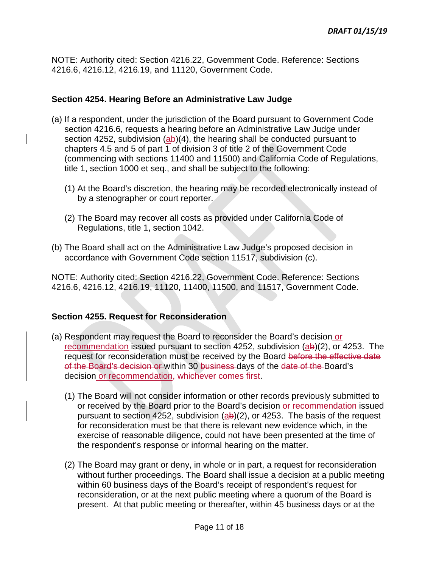4216.6, 4216.12, 4216.19, and 11120, Government Code. NOTE: Authority cited: Section 4216.22, Government Code. Reference: Sections

# **Section 4254. Hearing Before an Administrative Law Judge**

- (a) If a respondent, under the jurisdiction of the Board pursuant to Government Code section 4216.6, requests a hearing before an Administrative Law Judge under section 4252, subdivision  $(ab)(4)$ , the hearing shall be conducted pursuant to chapters 4.5 and 5 of part 1 of division 3 of title 2 of the Government Code (commencing with sections 11400 and 11500) and California Code of Regulations, title 1, section 1000 et seq., and shall be subject to the following:
	- (1) At the Board's discretion, the hearing may be recorded electronically instead of by a stenographer or court reporter.
	- Regulations, title 1, section 1042. (2) The Board may recover all costs as provided under California Code of
- (b) The Board shall act on the Administrative Law Judge's proposed decision in accordance with Government Code section 11517, subdivision (c).

 4216.6, 4216.12, 4216.19, 11120, 11400, 11500, and 11517, Government Code. NOTE: Authority cited: Section 4216.22, Government Code. Reference: Sections

# **Section 4255. Request for Reconsideration**

- recommendation issued pursuant to section 4252, subdivision (ab)(2), or 4253. The of the Board's decision or within 30 business days of the date of the Board's (a) Respondent may request the Board to reconsider the Board's decision or request for reconsideration must be received by the Board before the effective date decision or recommendation, whichever comes first.
	- or received by the Board prior to the Board's decision or recommendation issued pursuant to section 4252, subdivision (ab)(2), or 4253. The basis of the request for reconsideration must be that there is relevant new evidence which, in the exercise of reasonable diligence, could not have been presented at the time of the respondent's response or informal hearing on the matter. (1) The Board will not consider information or other records previously submitted to
	- within 60 business days of the Board's receipt of respondent's request for present. At that public meeting or thereafter, within 45 business days or at the (2) The Board may grant or deny, in whole or in part, a request for reconsideration without further proceedings. The Board shall issue a decision at a public meeting reconsideration, or at the next public meeting where a quorum of the Board is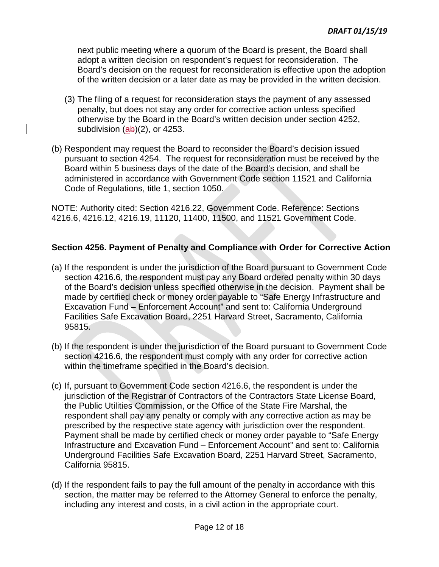adopt a written decision on respondent's request for reconsideration. The next public meeting where a quorum of the Board is present, the Board shall Board's decision on the request for reconsideration is effective upon the adoption of the written decision or a later date as may be provided in the written decision.

- (3) The filing of a request for reconsideration stays the payment of any assessed penalty, but does not stay any order for corrective action unless specified otherwise by the Board in the Board's written decision under section 4252, subdivision  $(a/b)(2)$ , or 4253.
- pursuant to section 4254. The request for reconsideration must be received by the Board within 5 business days of the date of the Board's decision, and shall be (b) Respondent may request the Board to reconsider the Board's decision issued administered in accordance with Government Code section 11521 and California Code of Regulations, title 1, section 1050.

 4216.6, 4216.12, 4216.19, 11120, 11400, 11500, and 11521 Government Code. NOTE: Authority cited: Section 4216.22, Government Code. Reference: Sections

# **Section 4256. Payment of Penalty and Compliance with Order for Corrective Action**

- of the Board's decision unless specified otherwise in the decision. Payment shall be (a) If the respondent is under the jurisdiction of the Board pursuant to Government Code section 4216.6, the respondent must pay any Board ordered penalty within 30 days made by certified check or money order payable to "Safe Energy Infrastructure and Excavation Fund – Enforcement Account" and sent to: California Underground Facilities Safe Excavation Board, 2251 Harvard Street, Sacramento, California 95815.
- within the timeframe specified in the Board's decision. (b) If the respondent is under the jurisdiction of the Board pursuant to Government Code section 4216.6, the respondent must comply with any order for corrective action
- prescribed by the respective state agency with jurisdiction over the respondent. (c) If, pursuant to Government Code section 4216.6, the respondent is under the jurisdiction of the Registrar of Contractors of the Contractors State License Board, the Public Utilities Commission, or the Office of the State Fire Marshal, the respondent shall pay any penalty or comply with any corrective action as may be Payment shall be made by certified check or money order payable to "Safe Energy Infrastructure and Excavation Fund – Enforcement Account" and sent to: California Underground Facilities Safe Excavation Board, 2251 Harvard Street, Sacramento, California 95815.
- (d) If the respondent fails to pay the full amount of the penalty in accordance with this section, the matter may be referred to the Attorney General to enforce the penalty, including any interest and costs, in a civil action in the appropriate court.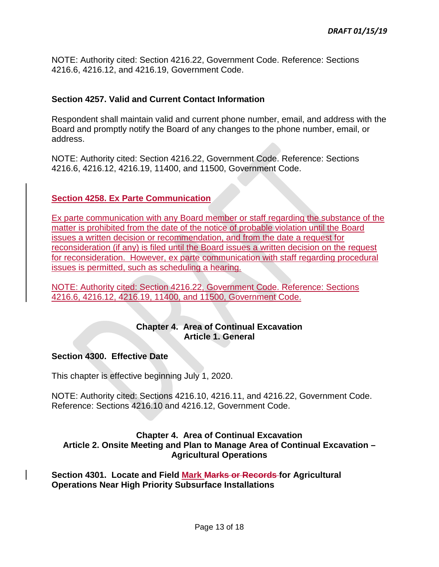NOTE: Authority cited: Section 4216.22, Government Code. Reference: Sections 4216.6, 4216.12, and 4216.19, Government Code.

# **Section 4257. Valid and Current Contact Information**

Respondent shall maintain valid and current phone number, email, and address with the Board and promptly notify the Board of any changes to the phone number, email, or address.

 4216.6, 4216.12, 4216.19, 11400, and 11500, Government Code. NOTE: Authority cited: Section 4216.22, Government Code. Reference: Sections

#### **Section 4258. Ex Parte Communication**

 issues a written decision or recommendation, and from the date a request for issues is permitted, such as scheduling a hearing. Ex parte communication with any Board member or staff regarding the substance of the matter is prohibited from the date of the notice of probable violation until the Board reconsideration (if any) is filed until the Board issues a written decision on the request for reconsideration. However, ex parte communication with staff regarding procedural

 4216.6, 4216.12, 4216.19, 11400, and 11500, Government Code. NOTE: Authority cited: Section 4216.22, Government Code. Reference: Sections

#### **Chapter 4. Area of Continual Excavation Article 1. General**

### **Section 4300. Effective Date**

This chapter is effective beginning July 1, 2020.

NOTE: Authority cited: Sections 4216.10, 4216.11, and 4216.22, Government Code. Reference: Sections 4216.10 and 4216.12, Government Code.

# **Chapter 4. Area of Continual Excavation Article 2. Onsite Meeting and Plan to Manage Area of Continual Excavation – Agricultural Operations**

 **Section 4301. Locate and Field Mark Marks or Records for Agricultural Operations Near High Priority Subsurface Installations**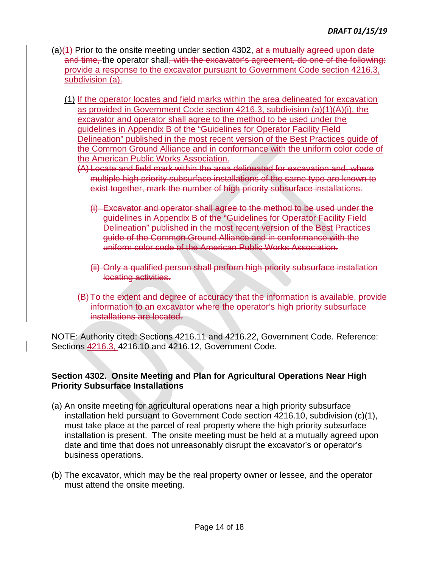- $(a)(4)$  Prior to the onsite meeting under section 4302, at a mutually agreed upon date and time, the operator shall, with the excavator's agreement, do one of the following: provide a response to the excavator pursuant to Government Code section 4216.3, subdivision (a).
	- (1) If the operator locates and field marks within the area delineated for excavation as provided in Government Code section 4216.3, subdivision (a)(1)(A)(i), the excavator and operator shall agree to the method to be used under the guidelines in Appendix B of the "Guidelines for Operator Facility Field Delineation" published in the most recent version of the Best Practices guide of the Common Ground Alliance and in conformance with the uniform color code of the American Public Works Association.
		- multiple high priority subsurface installations of the same type are known to exist together, mark the number of high priority subsurface installations. (A) Locate and field mark within the area delineated for excavation and, where
			- exist together, mark the number of high priority subsurface installations.<br>(i) Excavator and operator shall agree to the method to be used under the uniform color code of the American Public Works Association. guidelines in Appendix B of the "Guidelines for Operator Facility Field Delineation" published in the most recent version of the Best Practices guide of the Common Ground Alliance and in conformance with the
			- locating activities. (ii) Only a qualified person shall perform high priority subsurface installation
		- (B) To the extent and degree of accuracy that the information is available, provide information to an excavator where the operator's high priority subsurface installations are located.

NOTE: Authority cited: Sections 4216.11 and 4216.22, Government Code. Reference: Sections 4216.3, 4216.10 and 4216.12, Government Code.

# **Priority Subsurface Installations Section 4302. Onsite Meeting and Plan for Agricultural Operations Near High**

- installation is present. The onsite meeting must be held at a mutually agreed upon date and time that does not unreasonably disrupt the excavator's or operator's business operations. (a) An onsite meeting for agricultural operations near a high priority subsurface installation held pursuant to Government Code section 4216.10, subdivision (c)(1), must take place at the parcel of real property where the high priority subsurface
- must attend the onsite meeting. (b) The excavator, which may be the real property owner or lessee, and the operator must attend the onsite meeting.<br>Page 14 of 18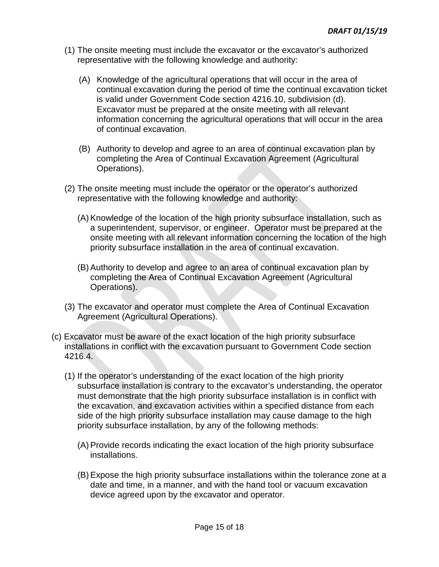- (1) The onsite meeting must include the excavator or the excavator's authorized representative with the following knowledge and authority:
	- is valid under Government Code section 4216.10, subdivision (d). (A) Knowledge of the agricultural operations that will occur in the area of continual excavation during the period of time the continual excavation ticket Excavator must be prepared at the onsite meeting with all relevant information concerning the agricultural operations that will occur in the area of continual excavation.
	- Operations). (B) Authority to develop and agree to an area of continual excavation plan by completing the Area of Continual Excavation Agreement (Agricultural
- representative with the following knowledge and authority: (2) The onsite meeting must include the operator or the operator's authorized
	- a superintendent, supervisor, or engineer. Operator must be prepared at the (A) Knowledge of the location of the high priority subsurface installation, such as onsite meeting with all relevant information concerning the location of the high priority subsurface installation in the area of continual excavation.
	- (B) Authority to develop and agree to an area of continual excavation plan by completing the Area of Continual Excavation Agreement (Agricultural Operations).
- (3) The excavator and operator must complete the Area of Continual Excavation Agreement (Agricultural Operations).
- 4216.4. (c) Excavator must be aware of the exact location of the high priority subsurface installations in conflict with the excavation pursuant to Government Code section
	- priority subsurface installation, by any of the following methods: (1) If the operator's understanding of the exact location of the high priority subsurface installation is contrary to the excavator's understanding, the operator must demonstrate that the high priority subsurface installation is in conflict with the excavation, and excavation activities within a specified distance from each side of the high priority subsurface installation may cause damage to the high
		- (A) Provide records indicating the exact location of the high priority subsurface installations.
		- (B) Expose the high priority subsurface installations within the tolerance zone at a device agreed upon by the excavator and operator.<br>Page 15 of 18 date and time, in a manner, and with the hand tool or vacuum excavation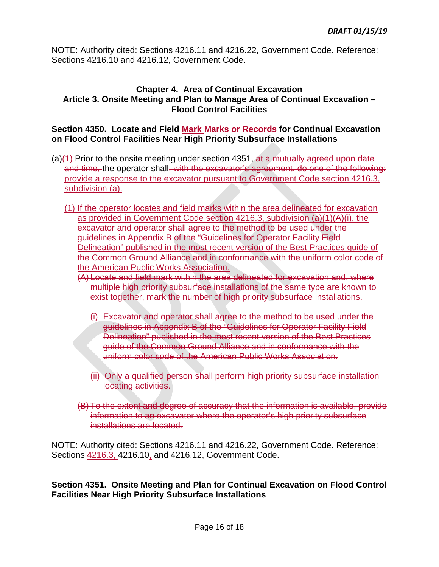NOTE: Authority cited: Sections 4216.11 and 4216.22, Government Code. Reference: Sections 4216.10 and 4216.12, Government Code.

# **Chapter 4. Area of Continual Excavation Article 3. Onsite Meeting and Plan to Manage Area of Continual Excavation – Flood Control Facilities**

# **Section 4350. Locate and Field Mark Marks or Records for Continual Excavation on Flood Control Facilities Near High Priority Subsurface Installations**

- $(a)(4)$  Prior to the onsite meeting under section 4351, at a mutually agreed upon date and time, the operator shall, with the excavator's agreement, do one of the following: provide a response to the excavator pursuant to Government Code section 4216.3, subdivision (a).
	- (1) If the operator locates and field marks within the area delineated for excavation the American Public Works Association. as provided in Government Code section 4216.3, subdivision (a)(1)(A)(i), the excavator and operator shall agree to the method to be used under the guidelines in Appendix B of the "Guidelines for Operator Facility Field Delineation" published in the most recent version of the Best Practices guide of the Common Ground Alliance and in conformance with the uniform color code of
		- multiple high priority subsurface installations of the same type are known to exist together, mark the number of high priority subsurface installations. (A) Locate and field mark within the area delineated for excavation and, where
			- uniform color code of the American Public Works Association.  $(i)$  Excavator and operator shall agree to the method to be used under the guidelines in Appendix B of the "Guidelines for Operator Facility Field Delineation" published in the most recent version of the Best Practices guide of the Common Ground Alliance and in conformance with the
			- locating activities. (ii) Only a qualified person shall perform high priority subsurface installation
		- (B) To the extent and degree of accuracy that the information is available, provide information to an excavator where the operator's high priority subsurface installations are located.

NOTE: Authority cited: Sections 4216.11 and 4216.22, Government Code. Reference: Sections  $4216.3$ , 4216.10, and 4216.12, Government Code.

**Section 4351. Onsite Meeting and Plan for Continual Excavation on Flood Control Facilities Near High Priority Subsurface Installations**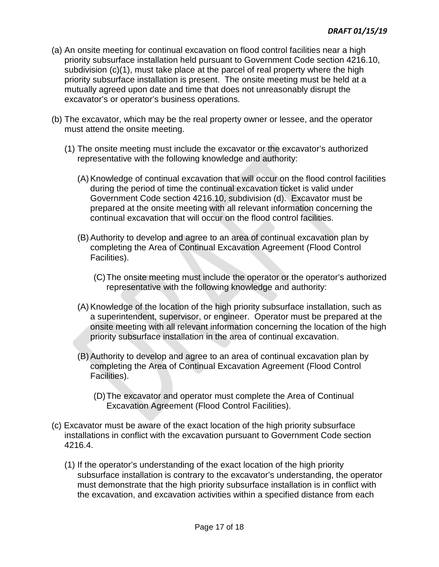- (a) An onsite meeting for continual excavation on flood control facilities near a high priority subsurface installation held pursuant to Government Code section 4216.10, priority subsurface installation is present. The onsite meeting must be held at a excavator's or operator's business operations. subdivision (c)(1), must take place at the parcel of real property where the high mutually agreed upon date and time that does not unreasonably disrupt the
- must attend the onsite meeting. (b) The excavator, which may be the real property owner or lessee, and the operator
	- (1) The onsite meeting must include the excavator or the excavator's authorized representative with the following knowledge and authority:
		- Government Code section 4216.10, subdivision (d). Excavator must be (A) Knowledge of continual excavation that will occur on the flood control facilities during the period of time the continual excavation ticket is valid under prepared at the onsite meeting with all relevant information concerning the continual excavation that will occur on the flood control facilities.
		- Facilities). (B) Authority to develop and agree to an area of continual excavation plan by completing the Area of Continual Excavation Agreement (Flood Control
			- (C) The onsite meeting must include the operator or the operator's authorized representative with the following knowledge and authority:
		- a superintendent, supervisor, or engineer. Operator must be prepared at the (A) Knowledge of the location of the high priority subsurface installation, such as onsite meeting with all relevant information concerning the location of the high priority subsurface installation in the area of continual excavation.
		- (B) Authority to develop and agree to an area of continual excavation plan by completing the Area of Continual Excavation Agreement (Flood Control Facilities).
			- Excavation Agreement (Flood Control Facilities). (D)The excavator and operator must complete the Area of Continual
- 4216.4. (c) Excavator must be aware of the exact location of the high priority subsurface installations in conflict with the excavation pursuant to Government Code section
	- (1) If the operator's understanding of the exact location of the high priority subsurface installation is contrary to the excavator's understanding, the operator must demonstrate that the high priority subsurface installation is in conflict with the excavation, and excavation activities within a specified distance from each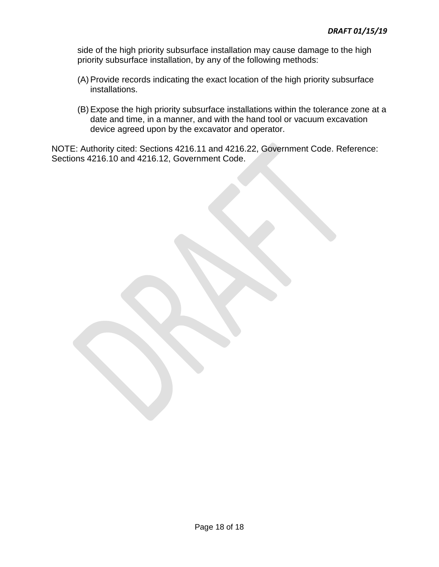side of the high priority subsurface installation may cause damage to the high priority subsurface installation, by any of the following methods:

- (A) Provide records indicating the exact location of the high priority subsurface installations.
- (B) Expose the high priority subsurface installations within the tolerance zone at a date and time, in a manner, and with the hand tool or vacuum excavation device agreed upon by the excavator and operator.

NOTE: Authority cited: Sections 4216.11 and 4216.22, Government Code. Reference: Sections 4216.10 and 4216.12, Government Code.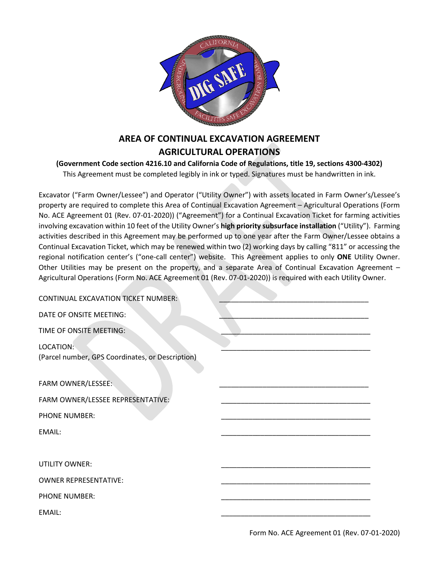

# **AREA OF CONTINUAL EXCAVATION AGREEMENT AGRICULTURAL OPERATIONS**

**(Government Code section 4216.10 and California Code of Regulations, title 19, sections 4300-4302)**  This Agreement must be completed legibly in ink or typed. Signatures must be handwritten in ink.

 property are required to complete this Area of Continual Excavation Agreement – Agricultural Operations (Form involving excavation within 10 feet of the Utility Owner's **high priority subsurface installation** ("Utility"). Farming regional notification center's ("one-call center") website. This Agreement applies to only **ONE** Utility Owner. Excavator ("Farm Owner/Lessee") and Operator ("Utility Owner") with assets located in Farm Owner's/Lessee's No. ACE Agreement 01 (Rev. 07-01-2020)) ("Agreement") for a Continual Excavation Ticket for farming activities activities described in this Agreement may be performed up to one year after the Farm Owner/Lessee obtains a Continual Excavation Ticket, which may be renewed within two (2) working days by calling "811" or accessing the Other Utilities may be present on the property, and a separate Area of Continual Excavation Agreement – Agricultural Operations (Form No. ACE Agreement 01 (Rev. 07-01-2020)) is required with each Utility Owner.

| <b>CONTINUAL EXCAVATION TICKET NUMBER:</b>                    |  |
|---------------------------------------------------------------|--|
| DATE OF ONSITE MEETING:                                       |  |
| TIME OF ONSITE MEETING:                                       |  |
| LOCATION:<br>(Parcel number, GPS Coordinates, or Description) |  |
| FARM OWNER/LESSEE:                                            |  |
| FARM OWNER/LESSEE REPRESENTATIVE:                             |  |
| <b>PHONE NUMBER:</b>                                          |  |
| EMAIL:                                                        |  |
|                                                               |  |
| UTILITY OWNER:                                                |  |
| <b>OWNER REPRESENTATIVE:</b>                                  |  |
| <b>PHONE NUMBER:</b>                                          |  |
| EMAIL:                                                        |  |
|                                                               |  |

Form No. ACE Agreement 01 (Rev. 07-01-2020)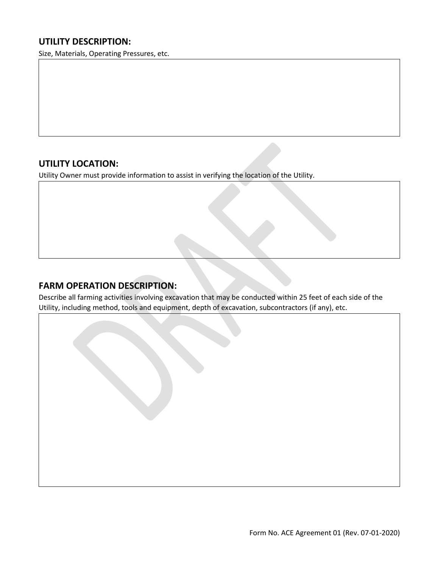# **UTILITY DESCRIPTION:**

Size, Materials, Operating Pressures, etc.

# **UTILITY LOCATION:**

Utility Owner must provide information to assist in verifying the location of the Utility.

# **FARM OPERATION DESCRIPTION:**

 Describe all farming activities involving excavation that may be conducted within 25 feet of each side of the Utility, including method, tools and equipment, depth of excavation, subcontractors (if any), etc.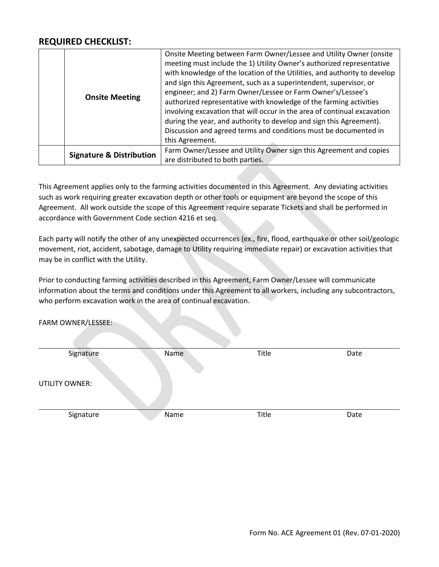# **REQUIRED CHECKLIST:**

| <b>Onsite Meeting</b>               | Onsite Meeting between Farm Owner/Lessee and Utility Owner (onsite<br>meeting must include the 1) Utility Owner's authorized representative<br>with knowledge of the location of the Utilities, and authority to develop<br>and sign this Agreement, such as a superintendent, supervisor, or<br>engineer; and 2) Farm Owner/Lessee or Farm Owner's/Lessee's<br>authorized representative with knowledge of the farming activities<br>involving excavation that will occur in the area of continual excavation<br>during the year, and authority to develop and sign this Agreement).<br>Discussion and agreed terms and conditions must be documented in<br>this Agreement. |
|-------------------------------------|------------------------------------------------------------------------------------------------------------------------------------------------------------------------------------------------------------------------------------------------------------------------------------------------------------------------------------------------------------------------------------------------------------------------------------------------------------------------------------------------------------------------------------------------------------------------------------------------------------------------------------------------------------------------------|
| <b>Signature &amp; Distribution</b> | Farm Owner/Lessee and Utility Owner sign this Agreement and copies<br>are distributed to both parties.                                                                                                                                                                                                                                                                                                                                                                                                                                                                                                                                                                       |

 Agreement. All work outside the scope of this Agreement require separate Tickets and shall be performed in This Agreement applies only to the farming activities documented in this Agreement. Any deviating activities such as work requiring greater excavation depth or other tools or equipment are beyond the scope of this accordance with Government Code section 4216 et seq.

 movement, riot, accident, sabotage, damage to Utility requiring immediate repair) or excavation activities that Each party will notify the other of any unexpected occurrences (ex., fire, flood, earthquake or other soil/geologic may be in conflict with the Utility.

Prior to conducting farming activities described in this Agreement, Farm Owner/Lessee will communicate information about the terms and conditions under this Agreement to all workers, including any subcontractors, who perform excavation work in the area of continual excavation.

#### FARM OWNER/LESSEE:

| Signature      | Name | <b>Title</b> | Date |
|----------------|------|--------------|------|
| UTILITY OWNER: |      |              |      |
| Signature      | Name | <b>Title</b> | Date |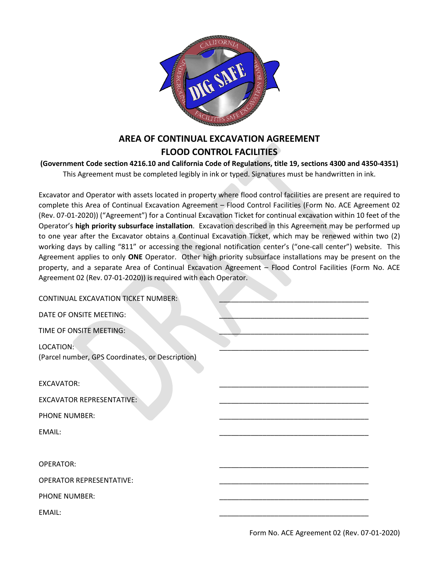

# **AREA OF CONTINUAL EXCAVATION AGREEMENT FLOOD CONTROL FACILITIES**

**(Government Code section 4216.10 and California Code of Regulations, title 19, sections 4300 and 4350-4351)**  This Agreement must be completed legibly in ink or typed. Signatures must be handwritten in ink.

 working days by calling "811" or accessing the regional notification center's ("one-call center") website. This Agreement applies to only **ONE** Operator. Other high priority subsurface installations may be present on the Excavator and Operator with assets located in property where flood control facilities are present are required to complete this Area of Continual Excavation Agreement – Flood Control Facilities (Form No. ACE Agreement 02 (Rev. 07-01-2020)) ("Agreement") for a Continual Excavation Ticket for continual excavation within 10 feet of the Operator's **high priority subsurface installation**. Excavation described in this Agreement may be performed up to one year after the Excavator obtains a Continual Excavation Ticket, which may be renewed within two (2) property, and a separate Area of Continual Excavation Agreement – Flood Control Facilities (Form No. ACE Agreement 02 (Rev. 07-01-2020)) is required with each Operator.

 CONTINUAL EXCAVATION TICKET NUMBER: \_\_\_\_\_\_\_\_\_\_\_\_\_\_\_\_\_\_\_\_\_\_\_\_\_\_\_\_\_\_\_\_\_\_\_\_\_\_ DATE OF ONSITE MEETING: \_\_\_\_\_\_\_\_\_\_\_\_\_\_\_\_\_\_\_\_\_\_\_\_\_\_\_\_\_\_\_\_\_\_\_\_\_\_ TIME OF ONSITE MEETING: \_\_\_\_\_\_\_\_\_\_\_\_\_\_\_\_\_\_\_\_\_\_\_\_\_\_\_\_\_\_\_\_\_\_\_\_\_\_ LOCATION: EXCAVATOR REPRESENTATIVE: \_\_\_\_\_\_\_\_\_\_\_\_\_\_\_\_\_\_\_\_\_\_\_\_\_\_\_\_\_\_\_\_\_\_\_\_\_\_ PHONE NUMBER: \_\_\_\_\_\_\_\_\_\_\_\_\_\_\_\_\_\_\_\_\_\_\_\_\_\_\_\_\_\_\_\_\_\_\_\_\_\_ EMAIL: OPERATOR REPRESENTATIVE: \_\_\_\_\_\_\_\_\_\_\_\_\_\_\_\_\_\_\_\_\_\_\_\_\_\_\_\_\_\_\_\_\_\_\_\_\_\_ PHONE NUMBER: \_\_\_\_\_\_\_\_\_\_\_\_\_\_\_\_\_\_\_\_\_\_\_\_\_\_\_\_\_\_\_\_\_\_\_\_\_\_ EMAIL: LOCATION: \_\_\_\_\_\_\_\_\_\_\_\_\_\_\_\_\_\_\_\_\_\_\_\_\_\_\_\_\_\_\_\_\_\_\_\_\_\_ (Parcel number, GPS Coordinates, or Description) EXCAVATOR: \_\_\_\_\_\_\_\_\_\_\_\_\_\_\_\_\_\_\_\_\_\_\_\_\_\_\_\_\_\_\_\_\_\_\_\_\_\_ EMAIL: \_\_\_\_\_\_\_\_\_\_\_\_\_\_\_\_\_\_\_\_\_\_\_\_\_\_\_\_\_\_\_\_\_\_\_\_\_\_ OPERATOR: \_\_\_\_\_\_\_\_\_\_\_\_\_\_\_\_\_\_\_\_\_\_\_\_\_\_\_\_\_\_\_\_\_\_\_\_\_\_ EMAIL: \_\_\_\_\_\_\_\_\_\_\_\_\_\_\_\_\_\_\_\_\_\_\_\_\_\_\_\_\_\_\_\_\_\_\_\_\_\_

Form No. ACE Agreement 02 (Rev. 07-01-2020)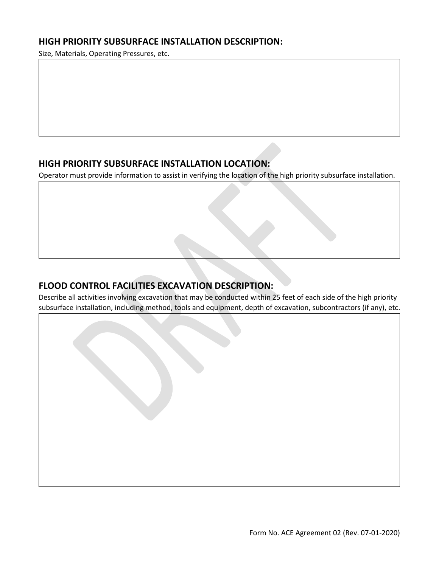# **HIGH PRIORITY SUBSURFACE INSTALLATION DESCRIPTION:**

Size, Materials, Operating Pressures, etc.

# **HIGH PRIORITY SUBSURFACE INSTALLATION LOCATION:**

Operator must provide information to assist in verifying the location of the high priority subsurface installation.

# **FLOOD CONTROL FACILITIES EXCAVATION DESCRIPTION:**

 Describe all activities involving excavation that may be conducted within 25 feet of each side of the high priority subsurface installation, including method, tools and equipment, depth of excavation, subcontractors (if any), etc.

Form No. ACE Agreement 02 (Rev. 07-01-2020)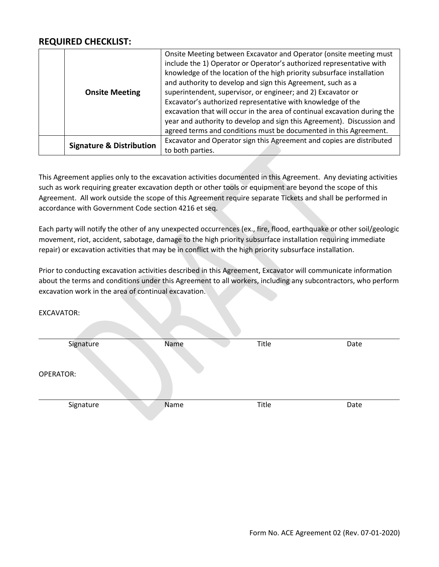# **REQUIRED CHECKLIST:**

| <b>Onsite Meeting</b>               | Onsite Meeting between Excavator and Operator (onsite meeting must<br>include the 1) Operator or Operator's authorized representative with<br>knowledge of the location of the high priority subsurface installation<br>and authority to develop and sign this Agreement, such as a<br>superintendent, supervisor, or engineer; and 2) Excavator or<br>Excavator's authorized representative with knowledge of the<br>excavation that will occur in the area of continual excavation during the<br>year and authority to develop and sign this Agreement). Discussion and<br>agreed terms and conditions must be documented in this Agreement. |
|-------------------------------------|------------------------------------------------------------------------------------------------------------------------------------------------------------------------------------------------------------------------------------------------------------------------------------------------------------------------------------------------------------------------------------------------------------------------------------------------------------------------------------------------------------------------------------------------------------------------------------------------------------------------------------------------|
|                                     |                                                                                                                                                                                                                                                                                                                                                                                                                                                                                                                                                                                                                                                |
| <b>Signature &amp; Distribution</b> | Excavator and Operator sign this Agreement and copies are distributed<br>to both parties.                                                                                                                                                                                                                                                                                                                                                                                                                                                                                                                                                      |

 such as work requiring greater excavation depth or other tools or equipment are beyond the scope of this Agreement. All work outside the scope of this Agreement require separate Tickets and shall be performed in This Agreement applies only to the excavation activities documented in this Agreement. Any deviating activities accordance with Government Code section 4216 et seq.

Each party will notify the other of any unexpected occurrences (ex., fire, flood, earthquake or other soil/geologic movement, riot, accident, sabotage, damage to the high priority subsurface installation requiring immediate repair) or excavation activities that may be in conflict with the high priority subsurface installation.

 Prior to conducting excavation activities described in this Agreement, Excavator will communicate information about the terms and conditions under this Agreement to all workers, including any subcontractors, who perform excavation work in the area of continual excavation.

#### EXCAVATOR:

| Signature        | Name | Title | Date |
|------------------|------|-------|------|
|                  |      |       |      |
| <b>OPERATOR:</b> |      |       |      |
|                  |      |       |      |
| Signature        | Name | Title | Date |